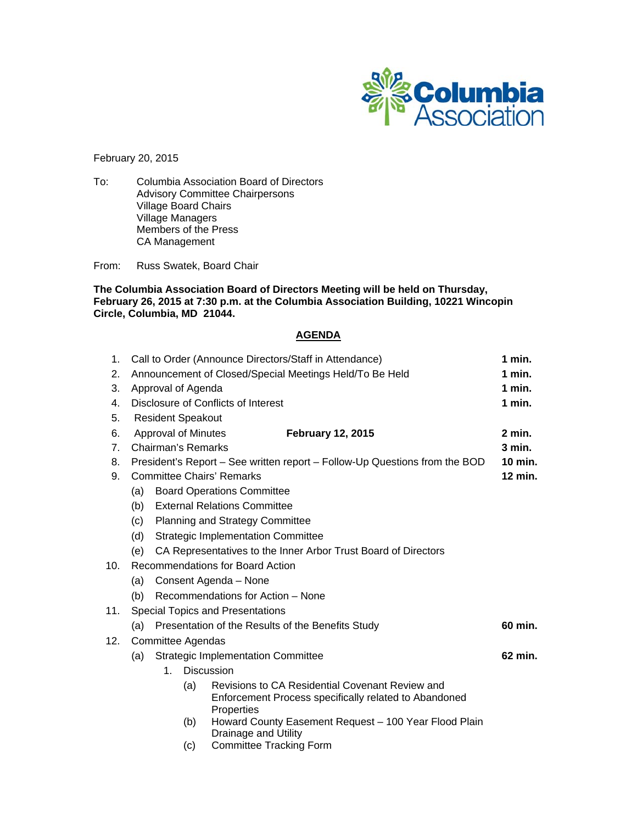

February 20, 2015

To: Columbia Association Board of Directors Advisory Committee Chairpersons Village Board Chairs Village Managers Members of the Press CA Management

From: Russ Swatek, Board Chair

**The Columbia Association Board of Directors Meeting will be held on Thursday, February 26, 2015 at 7:30 p.m. at the Columbia Association Building, 10221 Wincopin Circle, Columbia, MD 21044.** 

## **AGENDA**

| 1.             | Call to Order (Announce Directors/Staff in Attendance)                                |                            |                                                                                                                        |        | 1 min.   |  |
|----------------|---------------------------------------------------------------------------------------|----------------------------|------------------------------------------------------------------------------------------------------------------------|--------|----------|--|
| 2.             | Announcement of Closed/Special Meetings Held/To Be Held                               |                            |                                                                                                                        | 1 min. |          |  |
| 3.             | Approval of Agenda                                                                    |                            |                                                                                                                        |        | $1$ min. |  |
| 4.             | Disclosure of Conflicts of Interest                                                   |                            |                                                                                                                        |        | 1 min.   |  |
| 5.             | <b>Resident Speakout</b>                                                              |                            |                                                                                                                        |        |          |  |
| 6.             |                                                                                       | <b>Approval of Minutes</b> | <b>February 12, 2015</b>                                                                                               |        | $2$ min. |  |
| 7 <sub>1</sub> | Chairman's Remarks<br>$3$ min.                                                        |                            |                                                                                                                        |        |          |  |
| 8.             | 10 min.<br>President's Report – See written report – Follow-Up Questions from the BOD |                            |                                                                                                                        |        |          |  |
| 9.             | <b>Committee Chairs' Remarks</b>                                                      |                            |                                                                                                                        |        | 12 min.  |  |
|                | <b>Board Operations Committee</b><br>(a)                                              |                            |                                                                                                                        |        |          |  |
|                | <b>External Relations Committee</b><br>(b)                                            |                            |                                                                                                                        |        |          |  |
|                | (c)<br><b>Planning and Strategy Committee</b>                                         |                            |                                                                                                                        |        |          |  |
|                | <b>Strategic Implementation Committee</b><br>(d)                                      |                            |                                                                                                                        |        |          |  |
|                | (e)                                                                                   |                            | CA Representatives to the Inner Arbor Trust Board of Directors                                                         |        |          |  |
| 10.            | Recommendations for Board Action                                                      |                            |                                                                                                                        |        |          |  |
|                | Consent Agenda - None<br>(a)                                                          |                            |                                                                                                                        |        |          |  |
|                | Recommendations for Action - None<br>(b)                                              |                            |                                                                                                                        |        |          |  |
| 11.            | <b>Special Topics and Presentations</b>                                               |                            |                                                                                                                        |        |          |  |
|                | Presentation of the Results of the Benefits Study<br>(a)                              |                            |                                                                                                                        |        | 60 min.  |  |
| 12.            | <b>Committee Agendas</b>                                                              |                            |                                                                                                                        |        |          |  |
|                | (a)                                                                                   |                            | <b>Strategic Implementation Committee</b>                                                                              |        | 62 min.  |  |
|                |                                                                                       | $1_{-}$                    | <b>Discussion</b>                                                                                                      |        |          |  |
|                |                                                                                       | (a)                        | Revisions to CA Residential Covenant Review and<br>Enforcement Process specifically related to Abandoned<br>Properties |        |          |  |
|                |                                                                                       | (b)                        | Howard County Easement Request - 100 Year Flood Plain<br>Drainage and Utility                                          |        |          |  |
|                |                                                                                       |                            | and the state of the state of the state of the state of the state of the state of the state of the state of the        |        |          |  |

(c) Committee Tracking Form